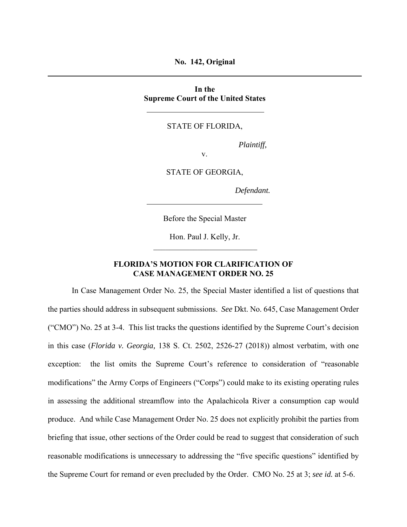**No. 142, Original** 

**In the Supreme Court of the United States** 

## STATE OF FLORIDA,

*Plaintiff,* 

v.

STATE OF GEORGIA,

*Defendant.* 

Before the Special Master

Hon. Paul J. Kelly, Jr.

## **FLORIDA'S MOTION FOR CLARIFICATION OF CASE MANAGEMENT ORDER NO. 25**

In Case Management Order No. 25, the Special Master identified a list of questions that the parties should address in subsequent submissions. *See* Dkt. No. 645, Case Management Order ("CMO") No. 25 at 3-4. This list tracks the questions identified by the Supreme Court's decision in this case (*Florida v. Georgia,* 138 S. Ct. 2502, 2526-27 (2018)) almost verbatim, with one exception: the list omits the Supreme Court's reference to consideration of "reasonable modifications" the Army Corps of Engineers ("Corps") could make to its existing operating rules in assessing the additional streamflow into the Apalachicola River a consumption cap would produce. And while Case Management Order No. 25 does not explicitly prohibit the parties from briefing that issue, other sections of the Order could be read to suggest that consideration of such reasonable modifications is unnecessary to addressing the "five specific questions" identified by the Supreme Court for remand or even precluded by the Order. CMO No. 25 at 3; *see id.* at 5-6.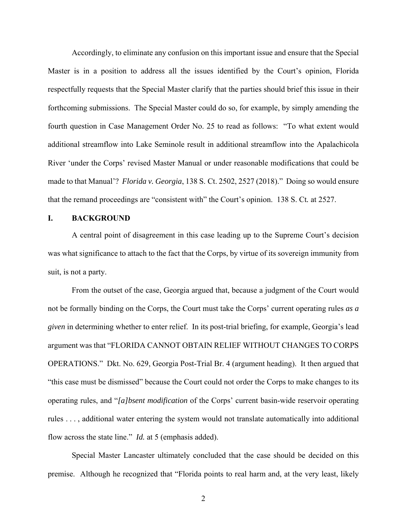Accordingly, to eliminate any confusion on this important issue and ensure that the Special Master is in a position to address all the issues identified by the Court's opinion, Florida respectfully requests that the Special Master clarify that the parties should brief this issue in their forthcoming submissions. The Special Master could do so, for example, by simply amending the fourth question in Case Management Order No. 25 to read as follows: "To what extent would additional streamflow into Lake Seminole result in additional streamflow into the Apalachicola River 'under the Corps' revised Master Manual or under reasonable modifications that could be made to that Manual'? *Florida v. Georgia*, 138 S. Ct. 2502, 2527 (2018)." Doing so would ensure that the remand proceedings are "consistent with" the Court's opinion. 138 S. Ct*.* at 2527.

## **I. BACKGROUND**

A central point of disagreement in this case leading up to the Supreme Court's decision was what significance to attach to the fact that the Corps, by virtue of its sovereign immunity from suit, is not a party.

From the outset of the case, Georgia argued that, because a judgment of the Court would not be formally binding on the Corps, the Court must take the Corps' current operating rules *as a given* in determining whether to enter relief. In its post-trial briefing, for example, Georgia's lead argument was that "FLORIDA CANNOT OBTAIN RELIEF WITHOUT CHANGES TO CORPS OPERATIONS." Dkt. No. 629, Georgia Post-Trial Br. 4 (argument heading). It then argued that "this case must be dismissed" because the Court could not order the Corps to make changes to its operating rules, and "*[a]bsent modification* of the Corps' current basin-wide reservoir operating rules . . . , additional water entering the system would not translate automatically into additional flow across the state line." *Id.* at 5 (emphasis added).

Special Master Lancaster ultimately concluded that the case should be decided on this premise. Although he recognized that "Florida points to real harm and, at the very least, likely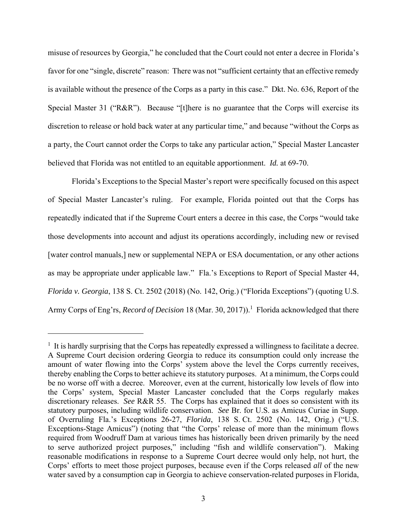misuse of resources by Georgia," he concluded that the Court could not enter a decree in Florida's favor for one "single, discrete" reason: There was not "sufficient certainty that an effective remedy is available without the presence of the Corps as a party in this case." Dkt. No. 636, Report of the Special Master 31 ("R&R"). Because "[t]here is no guarantee that the Corps will exercise its discretion to release or hold back water at any particular time," and because "without the Corps as a party, the Court cannot order the Corps to take any particular action," Special Master Lancaster believed that Florida was not entitled to an equitable apportionment. *Id.* at 69-70.

Florida's Exceptions to the Special Master's report were specifically focused on this aspect of Special Master Lancaster's ruling. For example, Florida pointed out that the Corps has repeatedly indicated that if the Supreme Court enters a decree in this case, the Corps "would take those developments into account and adjust its operations accordingly, including new or revised [water control manuals,] new or supplemental NEPA or ESA documentation, or any other actions as may be appropriate under applicable law." Fla.'s Exceptions to Report of Special Master 44, *Florida v. Georgia*, 138 S. Ct. 2502 (2018) (No. 142, Orig.) ("Florida Exceptions") (quoting U.S. Army Corps of Eng'rs, *Record of Decision* 18 (Mar. 30, 2017)).<sup>1</sup> Florida acknowledged that there

 $\overline{a}$ 

 $<sup>1</sup>$  It is hardly surprising that the Corps has repeatedly expressed a willingness to facilitate a decree.</sup> A Supreme Court decision ordering Georgia to reduce its consumption could only increase the amount of water flowing into the Corps' system above the level the Corps currently receives, thereby enabling the Corps to better achieve its statutory purposes. At a minimum, the Corps could be no worse off with a decree. Moreover, even at the current, historically low levels of flow into the Corps' system, Special Master Lancaster concluded that the Corps regularly makes discretionary releases. *See* R&R 55. The Corps has explained that it does so consistent with its statutory purposes, including wildlife conservation. *See* Br. for U.S. as Amicus Curiae in Supp. of Overruling Fla.'s Exceptions 26-27, *Florida*, 138 S. Ct. 2502 (No. 142, Orig.) ("U.S. Exceptions-Stage Amicus") (noting that "the Corps' release of more than the minimum flows required from Woodruff Dam at various times has historically been driven primarily by the need to serve authorized project purposes," including "fish and wildlife conservation"). Making reasonable modifications in response to a Supreme Court decree would only help, not hurt, the Corps' efforts to meet those project purposes, because even if the Corps released *all* of the new water saved by a consumption cap in Georgia to achieve conservation-related purposes in Florida,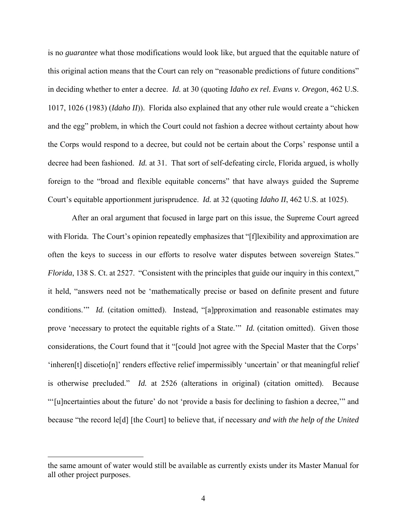is no *guarantee* what those modifications would look like, but argued that the equitable nature of this original action means that the Court can rely on "reasonable predictions of future conditions" in deciding whether to enter a decree. *Id.* at 30 (quoting *Idaho ex rel. Evans v. Oregon*, 462 U.S. 1017, 1026 (1983) (*Idaho II*)). Florida also explained that any other rule would create a "chicken and the egg" problem, in which the Court could not fashion a decree without certainty about how the Corps would respond to a decree, but could not be certain about the Corps' response until a decree had been fashioned. *Id.* at 31. That sort of self-defeating circle, Florida argued, is wholly foreign to the "broad and flexible equitable concerns" that have always guided the Supreme Court's equitable apportionment jurisprudence. *Id.* at 32 (quoting *Idaho II*, 462 U.S. at 1025).

After an oral argument that focused in large part on this issue, the Supreme Court agreed with Florida. The Court's opinion repeatedly emphasizes that "[f]lexibility and approximation are often the keys to success in our efforts to resolve water disputes between sovereign States." *Florida*, 138 S. Ct. at 2527. "Consistent with the principles that guide our inquiry in this context," it held, "answers need not be 'mathematically precise or based on definite present and future conditions." *Id.* (citation omitted). Instead, "[a]pproximation and reasonable estimates may prove 'necessary to protect the equitable rights of a State.'" *Id.* (citation omitted). Given those considerations, the Court found that it "[could ]not agree with the Special Master that the Corps' 'inheren[t] discetio[n]' renders effective relief impermissibly 'uncertain' or that meaningful relief is otherwise precluded." *Id.* at 2526 (alterations in original) (citation omitted). Because "'[u]ncertainties about the future' do not 'provide a basis for declining to fashion a decree,'" and because "the record le[d] [the Court] to believe that, if necessary *and with the help of the United* 

1

the same amount of water would still be available as currently exists under its Master Manual for all other project purposes.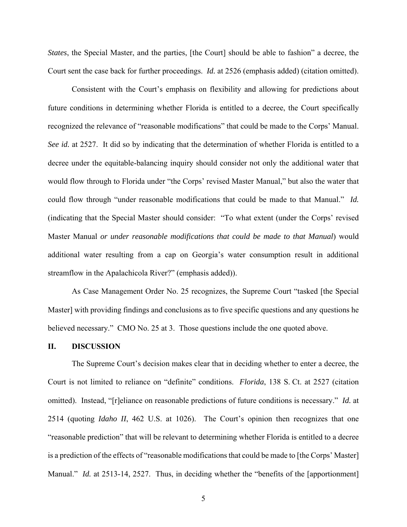*States*, the Special Master, and the parties, [the Court] should be able to fashion" a decree, the Court sent the case back for further proceedings. *Id.* at 2526 (emphasis added) (citation omitted).

Consistent with the Court's emphasis on flexibility and allowing for predictions about future conditions in determining whether Florida is entitled to a decree, the Court specifically recognized the relevance of "reasonable modifications" that could be made to the Corps' Manual. *See id.* at 2527. It did so by indicating that the determination of whether Florida is entitled to a decree under the equitable-balancing inquiry should consider not only the additional water that would flow through to Florida under "the Corps' revised Master Manual," but also the water that could flow through "under reasonable modifications that could be made to that Manual." *Id.* (indicating that the Special Master should consider: "To what extent (under the Corps' revised Master Manual *or under reasonable modifications that could be made to that Manual*) would additional water resulting from a cap on Georgia's water consumption result in additional streamflow in the Apalachicola River?" (emphasis added)).

As Case Management Order No. 25 recognizes, the Supreme Court "tasked [the Special Master] with providing findings and conclusions as to five specific questions and any questions he believed necessary." CMO No. 25 at 3. Those questions include the one quoted above.

#### **II. DISCUSSION**

The Supreme Court's decision makes clear that in deciding whether to enter a decree, the Court is not limited to reliance on "definite" conditions. *Florida*, 138 S. Ct. at 2527 (citation omitted). Instead, "[r]eliance on reasonable predictions of future conditions is necessary." *Id.* at 2514 (quoting *Idaho II*, 462 U.S. at 1026). The Court's opinion then recognizes that one "reasonable prediction" that will be relevant to determining whether Florida is entitled to a decree is a prediction of the effects of "reasonable modifications that could be made to [the Corps' Master] Manual." *Id.* at 2513-14, 2527. Thus, in deciding whether the "benefits of the [apportionment]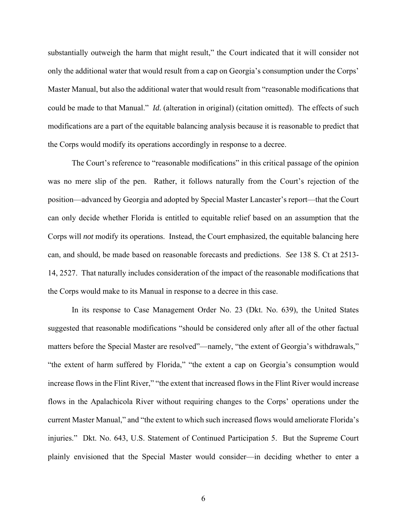substantially outweigh the harm that might result," the Court indicated that it will consider not only the additional water that would result from a cap on Georgia's consumption under the Corps' Master Manual, but also the additional water that would result from "reasonable modifications that could be made to that Manual." *Id.* (alteration in original) (citation omitted). The effects of such modifications are a part of the equitable balancing analysis because it is reasonable to predict that the Corps would modify its operations accordingly in response to a decree.

The Court's reference to "reasonable modifications" in this critical passage of the opinion was no mere slip of the pen. Rather, it follows naturally from the Court's rejection of the position—advanced by Georgia and adopted by Special Master Lancaster's report—that the Court can only decide whether Florida is entitled to equitable relief based on an assumption that the Corps will *not* modify its operations. Instead, the Court emphasized, the equitable balancing here can, and should, be made based on reasonable forecasts and predictions. *See* 138 S. Ct at 2513- 14, 2527. That naturally includes consideration of the impact of the reasonable modifications that the Corps would make to its Manual in response to a decree in this case.

In its response to Case Management Order No. 23 (Dkt. No. 639), the United States suggested that reasonable modifications "should be considered only after all of the other factual matters before the Special Master are resolved"—namely, "the extent of Georgia's withdrawals," "the extent of harm suffered by Florida," "the extent a cap on Georgia's consumption would increase flows in the Flint River," "the extent that increased flows in the Flint River would increase flows in the Apalachicola River without requiring changes to the Corps' operations under the current Master Manual," and "the extent to which such increased flows would ameliorate Florida's injuries." Dkt. No. 643, U.S. Statement of Continued Participation 5. But the Supreme Court plainly envisioned that the Special Master would consider—in deciding whether to enter a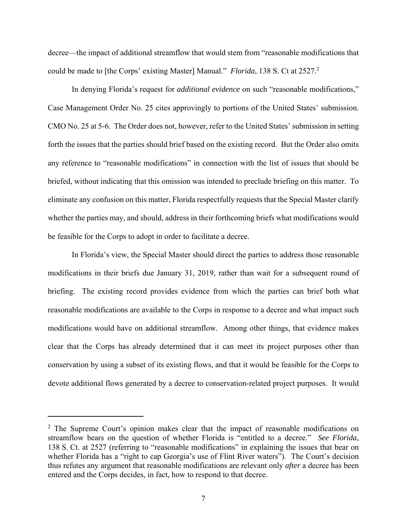decree—the impact of additional streamflow that would stem from "reasonable modifications that could be made to [the Corps' existing Master] Manual." *Florida*, 138 S. Ct at 2527.<sup>2</sup>

In denying Florida's request for *additional evidence* on such "reasonable modifications," Case Management Order No. 25 cites approvingly to portions of the United States' submission. CMO No. 25 at 5-6. The Order does not, however, refer to the United States' submission in setting forth the issues that the parties should brief based on the existing record. But the Order also omits any reference to "reasonable modifications" in connection with the list of issues that should be briefed, without indicating that this omission was intended to preclude briefing on this matter. To eliminate any confusion on this matter, Florida respectfully requests that the Special Master clarify whether the parties may, and should, address in their forthcoming briefs what modifications would be feasible for the Corps to adopt in order to facilitate a decree.

In Florida's view, the Special Master should direct the parties to address those reasonable modifications in their briefs due January 31, 2019, rather than wait for a subsequent round of briefing. The existing record provides evidence from which the parties can brief both what reasonable modifications are available to the Corps in response to a decree and what impact such modifications would have on additional streamflow. Among other things, that evidence makes clear that the Corps has already determined that it can meet its project purposes other than conservation by using a subset of its existing flows, and that it would be feasible for the Corps to devote additional flows generated by a decree to conservation-related project purposes. It would

<u>.</u>

 $2$  The Supreme Court's opinion makes clear that the impact of reasonable modifications on streamflow bears on the question of whether Florida is "entitled to a decree." *See Florida*, 138 S. Ct. at 2527 (referring to "reasonable modifications" in explaining the issues that bear on whether Florida has a "right to cap Georgia's use of Flint River waters"). The Court's decision thus refutes any argument that reasonable modifications are relevant only *after* a decree has been entered and the Corps decides, in fact, how to respond to that decree.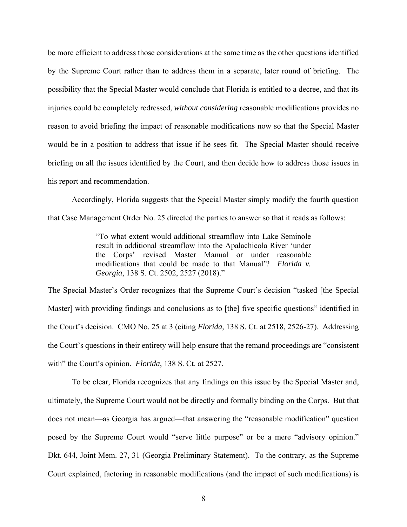be more efficient to address those considerations at the same time as the other questions identified by the Supreme Court rather than to address them in a separate, later round of briefing. The possibility that the Special Master would conclude that Florida is entitled to a decree, and that its injuries could be completely redressed, *without considering* reasonable modifications provides no reason to avoid briefing the impact of reasonable modifications now so that the Special Master would be in a position to address that issue if he sees fit. The Special Master should receive briefing on all the issues identified by the Court, and then decide how to address those issues in his report and recommendation.

Accordingly, Florida suggests that the Special Master simply modify the fourth question that Case Management Order No. 25 directed the parties to answer so that it reads as follows:

> "To what extent would additional streamflow into Lake Seminole result in additional streamflow into the Apalachicola River 'under the Corps' revised Master Manual or under reasonable modifications that could be made to that Manual'? *Florida v. Georgia*, 138 S. Ct. 2502, 2527 (2018)."

The Special Master's Order recognizes that the Supreme Court's decision "tasked [the Special Master] with providing findings and conclusions as to [the] five specific questions" identified in the Court's decision. CMO No. 25 at 3 (citing *Florida*, 138 S. Ct. at 2518, 2526-27). Addressing the Court's questions in their entirety will help ensure that the remand proceedings are "consistent with" the Court's opinion. *Florida*, 138 S. Ct. at 2527.

To be clear, Florida recognizes that any findings on this issue by the Special Master and, ultimately, the Supreme Court would not be directly and formally binding on the Corps. But that does not mean—as Georgia has argued—that answering the "reasonable modification" question posed by the Supreme Court would "serve little purpose" or be a mere "advisory opinion." Dkt. 644, Joint Mem. 27, 31 (Georgia Preliminary Statement). To the contrary, as the Supreme Court explained, factoring in reasonable modifications (and the impact of such modifications) is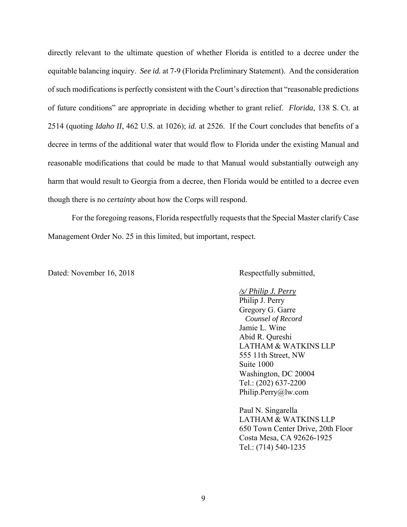directly relevant to the ultimate question of whether Florida is entitled to a decree under the equitable balancing inquiry. *See id.* at 7-9 (Florida Preliminary Statement).And the consideration of such modifications is perfectly consistent with the Court's direction that "reasonable predictions of future conditions" are appropriate in deciding whether to grant relief. *Florida*, 138 S. Ct. at 2514 (quoting *Idaho II*, 462 U.S. at 1026); *id.* at 2526. If the Court concludes that benefits of a decree in terms of the additional water that would flow to Florida under the existing Manual and reasonable modifications that could be made to that Manual would substantially outweigh any harm that would result to Georgia from a decree, then Florida would be entitled to a decree even though there is no *certainty* about how the Corps will respond.

For the foregoing reasons, Florida respectfully requests that the Special Master clarify Case Management Order No. 25 in this limited, but important, respect.

Dated: November 16, 2018 Respectfully submitted,

 */s/ Philip J. Perry*  Philip J. Perry Gregory G. Garre *Counsel of Record* Jamie L. Wine Abid R. Qureshi LATHAM & WATKINS LLP 555 11th Street, NW Suite 1000 Washington, DC 20004 Tel.: (202) 637-2200 Philip.Perry@lw.com

Paul N. Singarella LATHAM & WATKINS LLP 650 Town Center Drive, 20th Floor Costa Mesa, CA 92626-1925 Tel.: (714) 540-1235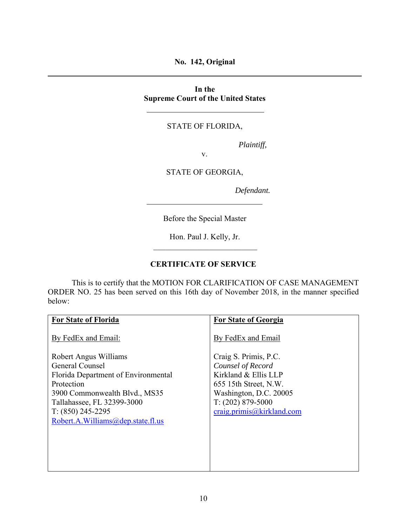**No. 142, Original** 

**In the Supreme Court of the United States** 

# STATE OF FLORIDA,

*Plaintiff,* 

v.

STATE OF GEORGIA,

*Defendant.* 

Before the Special Master

Hon. Paul J. Kelly, Jr.

# **CERTIFICATE OF SERVICE**

 This is to certify that the MOTION FOR CLARIFICATION OF CASE MANAGEMENT ORDER NO. 25 has been served on this 16th day of November 2018, in the manner specified below:

| <b>For State of Florida</b>         | <b>For State of Georgia</b> |
|-------------------------------------|-----------------------------|
| By FedEx and Email:                 | By FedEx and Email          |
| Robert Angus Williams               | Craig S. Primis, P.C.       |
| General Counsel                     | Counsel of Record           |
| Florida Department of Environmental | Kirkland & Ellis LLP        |
| Protection                          | 655 15th Street, N.W.       |
| 3900 Commonwealth Blvd., MS35       | Washington, D.C. 20005      |
| Tallahassee, FL 32399-3000          | $T: (202)$ 879-5000         |
| $T: (850)$ 245-2295                 | craig. primis@kirkland.com  |
| Robert.A.Williams@dep.state.fl.us   |                             |
|                                     |                             |
|                                     |                             |
|                                     |                             |
|                                     |                             |
|                                     |                             |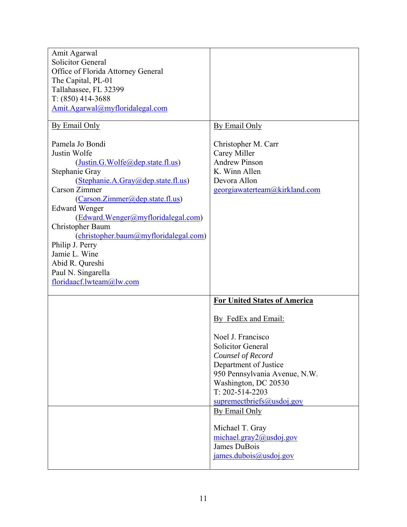| Amit Agarwal                          |                                     |
|---------------------------------------|-------------------------------------|
| <b>Solicitor General</b>              |                                     |
| Office of Florida Attorney General    |                                     |
| The Capital, PL-01                    |                                     |
| Tallahassee, FL 32399                 |                                     |
| $T: (850)$ 414-3688                   |                                     |
| Amit.Agarwal@myfloridalegal.com       |                                     |
|                                       |                                     |
| By Email Only                         | By Email Only                       |
|                                       |                                     |
| Pamela Jo Bondi                       | Christopher M. Carr                 |
| Justin Wolfe                          | Carey Miller                        |
| (Justin.G.Wolfe@dep.state.fl.us)      | <b>Andrew Pinson</b>                |
| Stephanie Gray                        | K. Winn Allen                       |
| (Stephanie.A.Gray@dep.state.fl.us)    | Devora Allon                        |
| <b>Carson Zimmer</b>                  | georgiawaterteam@kirkland.com       |
| (Carson.Zimmer@dep.state.fl.us)       |                                     |
| <b>Edward Wenger</b>                  |                                     |
| (Edward.Wenger@myfloridalegal.com)    |                                     |
| Christopher Baum                      |                                     |
| (christopher.baum@myfloridalegal.com) |                                     |
| Philip J. Perry                       |                                     |
| Jamie L. Wine                         |                                     |
| Abid R. Qureshi                       |                                     |
| Paul N. Singarella                    |                                     |
| floridaacf.lwteam@lw.com              |                                     |
|                                       |                                     |
|                                       | <b>For United States of America</b> |
|                                       | By FedEx and Email:                 |
|                                       | Noel J. Francisco                   |
|                                       |                                     |
|                                       | Solicitor General                   |
|                                       | Counsel of Record                   |
|                                       | Department of Justice               |
|                                       | 950 Pennsylvania Avenue, N.W.       |
|                                       | Washington, DC 20530                |
|                                       | $T: 202 - 514 - 2203$               |
|                                       | $supremechriefs(\omega)$ usdoj.gov  |
|                                       | By Email Only                       |
|                                       | Michael T. Gray                     |
|                                       | michael.gray2@usdoj.gov             |
|                                       | James DuBois                        |
|                                       |                                     |
|                                       | james.dubois@usdoj.gov              |